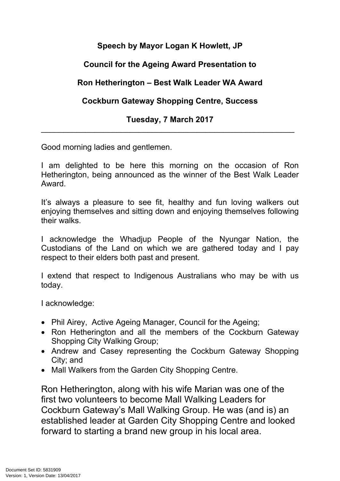# **Speech by Mayor Logan K Howlett, JP**

# **Council for the Ageing Award Presentation to**

## **Ron Hetherington – Best Walk Leader WA Award**

## **Cockburn Gateway Shopping Centre, Success**

### **Tuesday, 7 March 2017** \_\_\_\_\_\_\_\_\_\_\_\_\_\_\_\_\_\_\_\_\_\_\_\_\_\_\_\_\_\_\_\_\_\_\_\_\_\_\_\_\_\_\_\_\_\_\_\_\_\_\_\_\_\_\_\_\_

Good morning ladies and gentlemen.

I am delighted to be here this morning on the occasion of Ron Hetherington, being announced as the winner of the Best Walk Leader Award.

It's always a pleasure to see fit, healthy and fun loving walkers out enjoying themselves and sitting down and enjoying themselves following their walks.

I acknowledge the Whadjup People of the Nyungar Nation, the Custodians of the Land on which we are gathered today and I pay respect to their elders both past and present.

I extend that respect to Indigenous Australians who may be with us today.

I acknowledge:

- Phil Airey, Active Ageing Manager, Council for the Ageing;
- Ron Hetherington and all the members of the Cockburn Gateway Shopping City Walking Group;
- Andrew and Casey representing the Cockburn Gateway Shopping City; and
- Mall Walkers from the Garden City Shopping Centre.

Ron Hetherington, along with his wife Marian was one of the first two volunteers to become Mall Walking Leaders for Cockburn Gateway's Mall Walking Group. He was (and is) an established leader at Garden City Shopping Centre and looked forward to starting a brand new group in his local area.